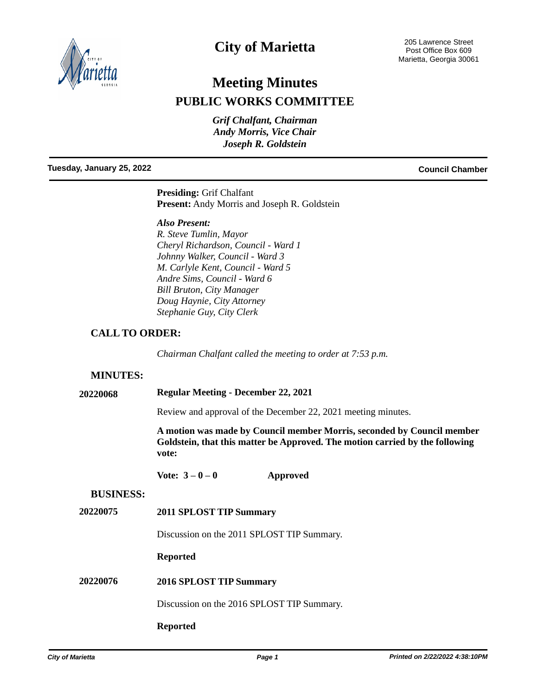

# **City of Marietta**

# **Meeting Minutes PUBLIC WORKS COMMITTEE**

*Grif Chalfant, Chairman Andy Morris, Vice Chair Joseph R. Goldstein*

**Tuesday, January 25, 2022 Council Chamber**

**Presiding:** Grif Chalfant **Present:** Andy Morris and Joseph R. Goldstein

*Also Present:*

*R. Steve Tumlin, Mayor Cheryl Richardson, Council - Ward 1 Johnny Walker, Council - Ward 3 M. Carlyle Kent, Council - Ward 5 Andre Sims, Council - Ward 6 Bill Bruton, City Manager Doug Haynie, City Attorney Stephanie Guy, City Clerk*

## **CALL TO ORDER:**

*Chairman Chalfant called the meeting to order at 7:53 p.m.*

#### **MINUTES:**

**20220068 Regular Meeting - December 22, 2021**

Review and approval of the December 22, 2021 meeting minutes.

**A motion was made by Council member Morris, seconded by Council member Goldstein, that this matter be Approved. The motion carried by the following vote:**

**Vote: 3 – 0 – 0 Approved**

#### **BUSINESS:**

**20220075 2011 SPLOST TIP Summary**

Discussion on the 2011 SPLOST TIP Summary.

**Reported**

**20220076 2016 SPLOST TIP Summary**

Discussion on the 2016 SPLOST TIP Summary.

#### **Reported**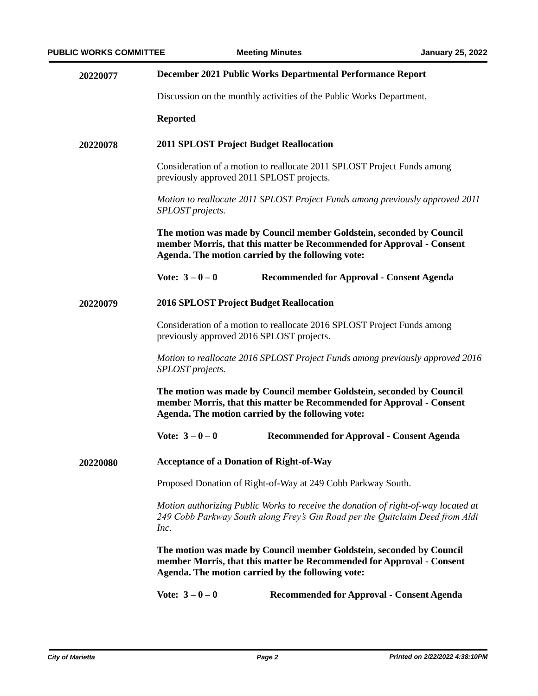| 20220077 | December 2021 Public Works Departmental Performance Report                                                                                                                                         |                                                                      |  |
|----------|----------------------------------------------------------------------------------------------------------------------------------------------------------------------------------------------------|----------------------------------------------------------------------|--|
|          |                                                                                                                                                                                                    | Discussion on the monthly activities of the Public Works Department. |  |
|          | <b>Reported</b>                                                                                                                                                                                    |                                                                      |  |
| 20220078 | <b>2011 SPLOST Project Budget Reallocation</b>                                                                                                                                                     |                                                                      |  |
|          | Consideration of a motion to reallocate 2011 SPLOST Project Funds among<br>previously approved 2011 SPLOST projects.                                                                               |                                                                      |  |
|          | Motion to reallocate 2011 SPLOST Project Funds among previously approved 2011<br>SPLOST projects.                                                                                                  |                                                                      |  |
|          | The motion was made by Council member Goldstein, seconded by Council<br>member Morris, that this matter be Recommended for Approval - Consent<br>Agenda. The motion carried by the following vote: |                                                                      |  |
|          | Vote: $3 - 0 - 0$                                                                                                                                                                                  | <b>Recommended for Approval - Consent Agenda</b>                     |  |
| 20220079 | <b>2016 SPLOST Project Budget Reallocation</b>                                                                                                                                                     |                                                                      |  |
|          | Consideration of a motion to reallocate 2016 SPLOST Project Funds among<br>previously approved 2016 SPLOST projects.                                                                               |                                                                      |  |
|          | Motion to reallocate 2016 SPLOST Project Funds among previously approved 2016<br>SPLOST projects.                                                                                                  |                                                                      |  |
|          | The motion was made by Council member Goldstein, seconded by Council<br>member Morris, that this matter be Recommended for Approval - Consent<br>Agenda. The motion carried by the following vote: |                                                                      |  |
|          | Vote: $3 - 0 - 0$                                                                                                                                                                                  | <b>Recommended for Approval - Consent Agenda</b>                     |  |
| 20220080 | <b>Acceptance of a Donation of Right-of-Way</b>                                                                                                                                                    |                                                                      |  |
|          | Proposed Donation of Right-of-Way at 249 Cobb Parkway South.                                                                                                                                       |                                                                      |  |
|          | Motion authorizing Public Works to receive the donation of right-of-way located at<br>249 Cobb Parkway South along Frey's Gin Road per the Quitclaim Deed from Aldi<br>Inc.                        |                                                                      |  |
|          | The motion was made by Council member Goldstein, seconded by Council<br>member Morris, that this matter be Recommended for Approval - Consent<br>Agenda. The motion carried by the following vote: |                                                                      |  |
|          | Vote: $3 - 0 - 0$                                                                                                                                                                                  | <b>Recommended for Approval - Consent Agenda</b>                     |  |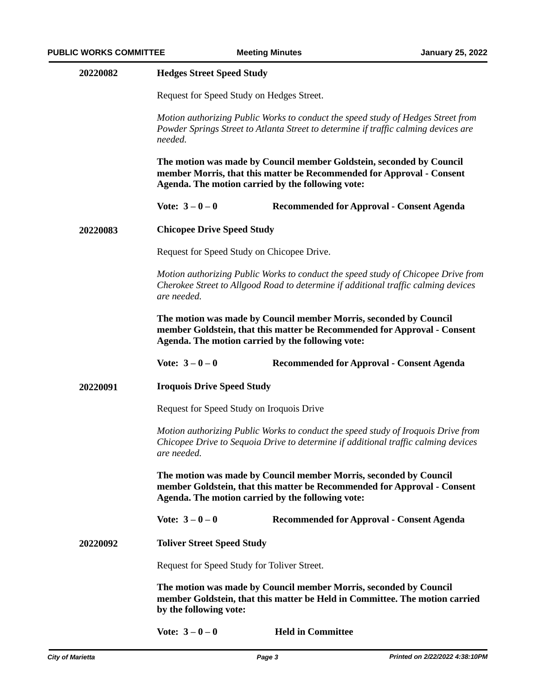| 20220082 | <b>Hedges Street Speed Study</b>                                                                                                                                                                   |  |  |
|----------|----------------------------------------------------------------------------------------------------------------------------------------------------------------------------------------------------|--|--|
|          | Request for Speed Study on Hedges Street.                                                                                                                                                          |  |  |
|          | Motion authorizing Public Works to conduct the speed study of Hedges Street from<br>Powder Springs Street to Atlanta Street to determine if traffic calming devices are<br>needed.                 |  |  |
|          | The motion was made by Council member Goldstein, seconded by Council<br>member Morris, that this matter be Recommended for Approval - Consent<br>Agenda. The motion carried by the following vote: |  |  |
|          | Vote: $3 - 0 - 0$<br><b>Recommended for Approval - Consent Agenda</b>                                                                                                                              |  |  |
| 20220083 | <b>Chicopee Drive Speed Study</b>                                                                                                                                                                  |  |  |
|          | Request for Speed Study on Chicopee Drive.                                                                                                                                                         |  |  |
|          | Motion authorizing Public Works to conduct the speed study of Chicopee Drive from<br>Cherokee Street to Allgood Road to determine if additional traffic calming devices<br>are needed.             |  |  |
|          | The motion was made by Council member Morris, seconded by Council<br>member Goldstein, that this matter be Recommended for Approval - Consent<br>Agenda. The motion carried by the following vote: |  |  |
|          | Vote: $3 - 0 - 0$<br><b>Recommended for Approval - Consent Agenda</b>                                                                                                                              |  |  |
| 20220091 | <b>Iroquois Drive Speed Study</b>                                                                                                                                                                  |  |  |
|          | Request for Speed Study on Iroquois Drive                                                                                                                                                          |  |  |
|          | Motion authorizing Public Works to conduct the speed study of Iroquois Drive from<br>Chicopee Drive to Sequoia Drive to determine if additional traffic calming devices<br>are needed.             |  |  |
|          | The motion was made by Council member Morris, seconded by Council<br>member Goldstein, that this matter be Recommended for Approval - Consent<br>Agenda. The motion carried by the following vote: |  |  |
|          | Vote: $3 - 0 - 0$<br><b>Recommended for Approval - Consent Agenda</b>                                                                                                                              |  |  |
| 20220092 | <b>Toliver Street Speed Study</b>                                                                                                                                                                  |  |  |
|          | Request for Speed Study for Toliver Street.                                                                                                                                                        |  |  |
|          | The motion was made by Council member Morris, seconded by Council<br>member Goldstein, that this matter be Held in Committee. The motion carried<br>by the following vote:                         |  |  |
|          | <b>Held in Committee</b><br>Vote: $3-0-0$                                                                                                                                                          |  |  |